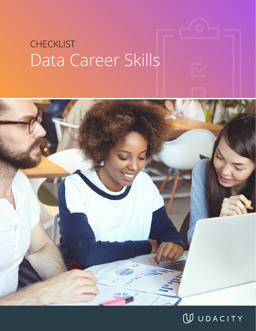# Data Career Skills **CHECKLIST**



## WUDACITY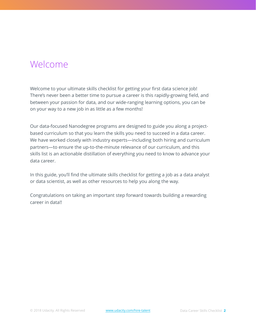## Welcome

Welcome to your ultimate skills checklist for getting your first data science job! There's never been a better time to pursue a career is this rapidly-growing field, and between your passion for data, and our wide-ranging learning options, you can be on your way to a new job in as little as a few months!

Our data-focused Nanodegree programs are designed to guide you along a projectbased curriculum so that you learn the skills you need to succeed in a data career. We have worked closely with industry experts—including both hiring and curriculum partners—to ensure the up-to-the-minute relevance of our curriculum, and this skills list is an actionable distillation of everything you need to know to advance your data career.

In this guide, you'll find the ultimate skills checklist for getting a job as a data analyst or data scientist, as well as other resources to help you along the way.

Congratulations on taking an important step forward towards building a rewarding career in data!!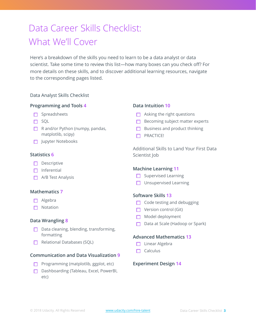## Data Career Skills Checklist: What We'll Cover

Here's a breakdown of the skills you need to learn to be a data analyst or data scientist. Take some time to review this list—how many boxes can you check off? For more details on these skills, and to discover additional learning resources, navigate to the corresponding pages listed.

#### Data Analyst Skills Checklist

#### **Programming and Tools 4**

- $\Box$  Spreadsheets
- $\square$  SQL
- $\Box$  R and/or Python (numpy, pandas, matplotlib, scipy)
- □ Jupyter Notebooks

#### **Statistics 6**

- $\Box$  Descriptive
- $\Box$  Inferential
- $\Box$  A/B Test Analysis

#### **Mathematics 7**

- Algebra
- $\Box$  Notation

#### **Data Wrangling 8**

- $\Box$  Data cleaning, blending, transforming, formatting
- $\Box$  Relational Databases (SQL)

#### **Communication and Data Visualization 9**

- $\Box$  Programming (matplotlib, ggplot, etc)
- □ Dashboarding (Tableau, Excel, PowerBI, etc)

#### **Data Intuition 10**

- $\Box$  Asking the right questions
- $\Box$  Becoming subject matter experts
- $\Box$  Business and product thinking
- **D** PRACTICE!

Additional Skills to Land Your First Data Scientist Job

#### **Machine Learning 11**

- $\Box$  Supervised Learning
- **Unsupervised Learning**

#### **Software Skills 13**

- $\Box$  Code testing and debugging
- $\Box$  Version control (Git)
- Model deployment
- $\Box$  Data at Scale (Hadoop or Spark)

#### **Advanced Mathematics 13**

- **Linear Algebra**
- $\Box$  Calculus

#### **Experiment Design 14**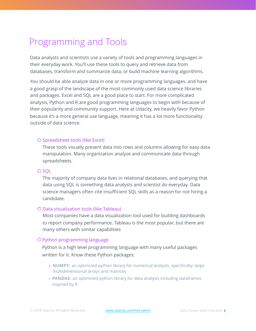## Programming and Tools

Data analysts and scientists use a variety of tools and programming languages in their everyday work. You'll use these tools to query and retrieve data from databases, transform and summarize data, or build machine learning algorithms.

You should be able analyze data in one or more programming languages, and have a good grasp of the landscape of the most commonly used data science libraries and packages. Excel and SQL are a good place to start. For more complicated analysis, Python and R are good programming languages to begin with because of their popularity and community support. Here at Udacity, we heavily favor Python because it's a more general use language, meaning it has a lot more functionality outside of data science.

#### O Spreadsheet tools (like Excel)

These tools visually present data into rows and columns allowing for easy data manipulation. Many organization analyze and communicate data through spreadsheets.

#### O SOL

The majority of company data lives in relational databases, and querying that data using SQL is something data analysts and scientist do everyday. Data science managers often cite insufficient SQL skills as a reason for not hiring a candidate.

#### Data visualization tools (like Tableau)

Most companies have a data visualization tool used for building dashboards to report company performance. Tableau is the most popular, but there are many others with similar capabilities

#### O Python programming language

Python is a high level programming language with many useful packages written for it. Know these Python packages:

- **• NUMPY:** an optimized python library for numerical analysis, specifically: large, multidimensional arrays and matrices
- **• PANDAS:** an optimized python library for data analysis including dataframes inspired by R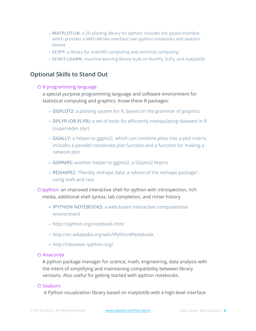- **MATPLOTLIB:** a 2D plotting library for python, includes the pyplot interface which provides a MATLAB-like interface (see ipython notebooks and seaborn below)
- **SCIPY:** a library for scientific computing and technical computing
- **SCIKIT-LEARN:** machine learning library built on NumPy, SciPy, and matplotlib

### **Optional Skills to Stand Out**

#### O R programming language

a special purpose programming language and software environment for statistical computing and graphics. Know these R packages:

- **GGPLOT2:** a plotting system for R, based on the grammar of graphics
- **DPLYR (OR PLYR):** a set of tools for efficiently manipulating datasets in R (supersedes plyr)
- **GGALLY:** a helper to ggplot2, which can combine plots into a plot matrix, includes a parallel coordinate plot function and a function for making a network plot
- **GGPAIRS:** another helper to ggplot2, a GGplot2 Matrix
- **RESHAPE2:** "Flexibly reshape data: a reboot of the reshape package", using melt and cast
- O ipython: an improved interactive shell for python with introspection, rich media, additional shell syntax, tab completion, and richer history
	- **IPYTHON NOTEBOOKS:** a web-based interactive computational environment
	- http://ipython.org/notebook.html
	- http://en.wikipedia.org/wiki/IPython#Notebook
	- http://nbviewer.ipython.org/

#### Anaconda

A python package manager for science, math, engineering, data analysis with the intent of simplifying and maintaining compatibility between library versions. Also useful for getting started with ipython notebooks.

#### O Seaborn

A Python visualization library based on matplotlib with a high-level interface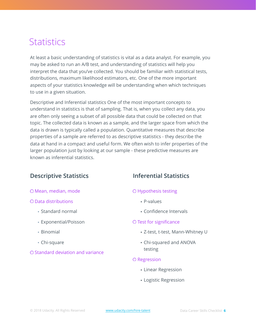## **Statistics**

At least a basic understanding of statistics is vital as a data analyst. For example, you may be asked to run an A/B test, and understanding of statistics will help you interpret the data that you've collected. You should be familiar with statistical tests, distributions, maximum likelihood estimators, etc. One of the more important aspects of your statistics knowledge will be understanding when which techniques to use in a given situation.

Descriptive and Inferential statistics One of the most important concepts to understand in statistics is that of sampling. That is, when you collect any data, you are often only seeing a subset of all possible data that could be collected on that topic. The collected data is known as a sample, and the larger space from which the data is drawn is typically called a population. Quantitative measures that describe properties of a sample are referred to as descriptive statistics - they describe the data at hand in a compact and useful form. We often wish to infer properties of the larger population just by looking at our sample - these predictive measures are known as inferential statistics.

### **Descriptive Statistics**

#### Mean, median, mode

#### Data distributions

- Standard normal
- Exponential/Poisson
- Binomial
- Chi-square
- O Standard deviation and variance

### **Inferential Statistics**

#### Hypothesis testing

- P-values
- Confidence Intervals

#### O Test for significance

- Z-test, t-test, Mann-Whitney U
- Chi-squared and ANOVA testing

#### O Regression

- Linear Regression
- Logistic Regression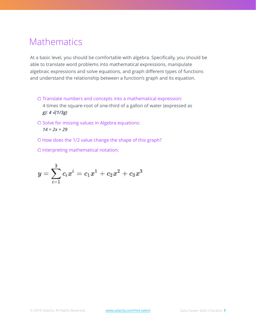## Mathematics

At a basic level, you should be comfortable with algebra. Specifically, you should be able to translate word problems into mathematical expressions, manipulate algebraic expressions and solve equations, and graph different types of functions and understand the relationship between a function's graph and its equation.

- O Translate numbers and concepts into a mathematical expression: 4 times the square-root of one-third of a gallon of water (expressed as *g): 4 √(1/3g)*
- O Solve for missing values in Algebra equations: *14 = 2x + 29*
- O How does the 1/2 value change the shape of this graph?
- O Interpreting mathematical notation:

$$
y=\sum_{i=1}^3c_ix^i=c_1x^1+c_2x^2+c_3x^3
$$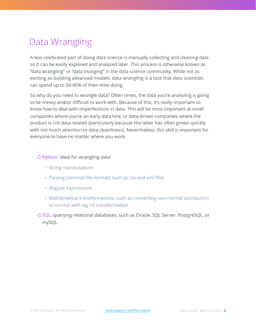## Data Wrangling

A less celebrated part of doing data science is manually collecting and cleaning data so it can be easily explored and analyzed later. This process is otherwise known as "data wrangling" or "data munging" in the data science community. While not as exciting as building advanced models, data wrangling is a task that data scientists can spend up to 50-80% of their time doing.

So why do you need to wrangle data? Often times, the data you're analyzing is going to be messy and/or difficult to work with. Because of this, it's really important to know how to deal with imperfections in data. This will be most important at small companies where you're an early data hire, or data-driven companies where the product is not data-related (particularly because the latter has often grown quickly with not much attention to data cleanliness). Nevertheless, this skill is important for everyone to have no matter where you work.

#### O Python: ideal for wrangling data

- String manipulations
- Parsing common file formats such as csv and xml files
- Regular Expressions
- Mathematical transformations, such as converting non-normal distribution to normal with log-10 transformation

O SQL: querying relational databases, such as Oracle, SQL Server, PostgreSQL, or mySQL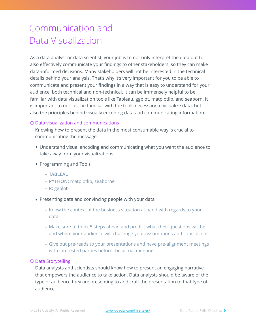## Communication and Data Visualization

As a data analyst or data scientist, your job is to not only interpret the data but to also effectively communicate your findings to other stakeholders, so they can make data-informed decisions. Many stakeholders will not be interested in the technical details behind your analysis. That's why it's very important for you to be able to communicate and present your findings in a way that is easy to understand for your audience, both technical and non-technical. It can be immensely helpful to be familiar with data visualization tools like Tableau, ggplot, matplotlib, and seaborn. It is important to not just be familiar with the tools necessary to visualize data, but also the principles behind visually encoding data and communicating information.

#### Data visualization and communications

Knowing how to present the data in the most consumable way is crucial to communicating the message

- Understand visual encoding and communicating what you want the audience to take away from your visualizations
- Programming and Tools
	- **• TABLEAU**
	- **PYTHON:** matplotlib, seaborne
	- **R:** ggplot
- Presenting data and convincing people with your data
	- Know the context of the business situation at hand with regards to your data
	- Make sure to think 5 steps ahead and predict what their questions will be and where your audience will challenge your assumptions and conclusions
	- Give out pre-reads to your presentations and have pre-alignment meetings with interested parties before the actual meeting

#### Data Storytelling

Data analysts and scientists should know how to present an engaging narrative that empowers the audience to take action. Data analysts should be aware of the type of audience they are presenting to and craft the presentation to that type of audience.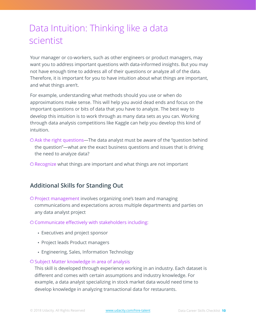## Data Intuition: Thinking like a data scientist

Your manager or co-workers, such as other engineers or product managers, may want you to address important questions with data-informed insights. But you may not have enough time to address all of their questions or analyze all of the data. Therefore, it is important for you to have intuition about what things are important, and what things aren't.

For example, understanding what methods should you use or when do approximations make sense. This will help you avoid dead ends and focus on the important questions or bits of data that you have to analyze. The best way to develop this intuition is to work through as many data sets as you can. Working through data analysis competitions like Kaggle can help you develop this kind of intuition.

- O Ask the right questions—The data analyst must be aware of the "question behind the question"—what are the exact business questions and issues that is driving the need to analyze data?
- O Recognize what things are important and what things are not important

### **Additional Skills for Standing Out**

Project management involves organizing one's team and managing communications and expectations across multiple departments and parties on any data analyst project

#### Communicate effectively with stakeholders including:

- Executives and project sponsor
- Project leads Product managers
- Engineering, Sales, Information Technology

#### O Subject Matter knowledge in area of analysis

This skill is developed through experience working in an industry. Each dataset is different and comes with certain assumptions and industry knowledge. For example, a data analyst specializing in stock market data would need time to develop knowledge in analyzing transactional data for restaurants.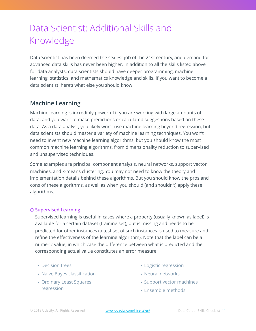## Data Scientist: Additional Skills and Knowledge

Data Scientist has been deemed the sexiest job of the 21st century, and demand for advanced data skills has never been higher. In addition to all the skills listed above for data analysts, data scientists should have deeper programming, machine learning, statistics, and mathematics knowledge and skills. If you want to become a data scientist, here's what else you should know!

### **Machine Learning**

Machine learning is incredibly powerful if you are working with large amounts of data, and you want to make predictions or calculated suggestions based on these data. As a data analyst, you likely won't use machine learning beyond regression, but data scientists should master a variety of machine learning techniques. You won't need to invent new machine learning algorithms, but you should know the most common machine learning algorithms, from dimensionality reduction to supervised and unsupervised techniques.

Some examples are principal component analysis, neural networks, support vector machines, and k-means clustering. You may not need to know the theory and implementation details behind these algorithms. But you should know the pros and cons of these algorithms, as well as when you should (and shouldn't) apply these algorithms.

#### **Supervised Learning**

Supervised learning is useful in cases where a property (usually known as label) is available for a certain dataset (training set), but is missing and needs to be predicted for other instances (a test set of such instances is used to measure and refine the effectiveness of the learning algorithm). Note that the label can be a numeric value, in which case the difference between what is predicted and the corresponding actual value constitutes an error measure.

- Decision trees
- Naive Bayes classification
- Ordinary Least Squares regression
- Logistic regression
- Neural networks
- Support vector machines
- Ensemble methods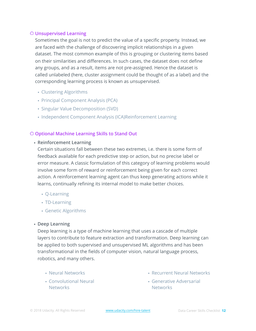#### **Unsupervised Learning**

Sometimes the goal is not to predict the value of a specific property. Instead, we are faced with the challenge of discovering implicit relationships in a given dataset. The most common example of this is grouping or clustering items based on their similarities and differences. In such cases, the dataset does not define any groups, and as a result, items are not pre-assigned. Hence the dataset is called unlabeled (here, cluster assignment could be thought of as a label) and the corresponding learning process is known as unsupervised.

- Clustering Algorithms
- Principal Component Analysis (PCA)
- Singular Value Decomposition (SVD)
- Independent Component Analysis (ICA)Reinforcement Learning

#### **Optional Machine Learning Skills to Stand Out**

#### • **Reinforcement Learning**

Certain situations fall between these two extremes, i.e. there is some form of feedback available for each predictive step or action, but no precise label or error measure. A classic formulation of this category of learning problems would involve some form of reward or reinforcement being given for each correct action. A reinforcement learning agent can thus keep generating actions while it learns, continually refining its internal model to make better choices.

- Q-Learning
- TD-Learning
- Genetic Algorithms

#### • **Deep Learning**

Deep learning is a type of machine learning that uses a cascade of multiple layers to contribute to feature extraction and transformation. Deep learning can be applied to both supervised and unsupervised ML algorithms and has been transformational in the fields of computer vision, natural language process, robotics, and many others.

- Neural Networks
- Convolutional Neural **Networks**
- Recurrent Neural Networks
- Generative Adversarial **Networks**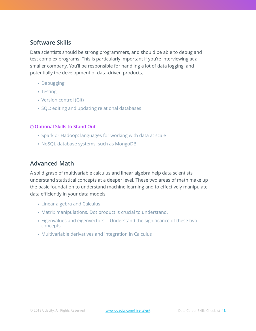### **Software Skills**

Data scientists should be strong programmers, and should be able to debug and test complex programs. This is particularly important if you're interviewing at a smaller company. You'll be responsible for handling a lot of data logging, and potentially the development of data-driven products.

- Debugging
- Testing
- Version control (Git)
- SQL: editing and updating relational databases

#### **Optional Skills to Stand Out**

- Spark or Hadoop: languages for working with data at scale
- NoSQL database systems, such as MongoDB

### **Advanced Math**

A solid grasp of multivariable calculus and linear algebra help data scientists understand statistical concepts at a deeper level. These two areas of math make up the basic foundation to understand machine learning and to effectively manipulate data efficiently in your data models.

- Linear algebra and Calculus
- Matrix manipulations. Dot product is crucial to understand.
- Eigenvalues and eigenvectors -- Understand the significance of these two concepts
- Multivariable derivatives and integration in Calculus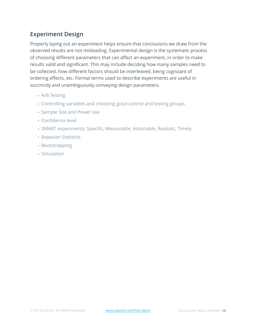### **Experiment Design**

Properly laying out an experiment helps ensure that conclusions we draw from the observed results are not misleading. Experimental design is the systematic process of choosing different parameters that can affect an experiment, in order to make results valid and significant. This may include deciding how many samples need to be collected, how different factors should be interleaved, being cognizant of ordering effects, etc. Formal terms used to describe experiments are useful in succinctly and unambiguously conveying design parameters.

- A/B Testing
- Controlling variables and choosing good control and testing groups
- Sample Size and Power law
- Confidence level
- SMART experiments: Specific, Measurable, Actionable, Realistic, Timely
- Bayesian Statistics
- Bootstrapping
- Simulation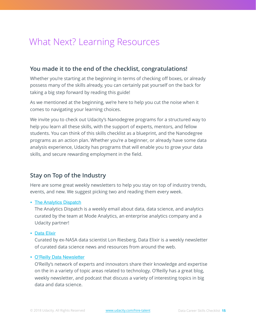## What Next? Learning Resources

### **You made it to the end of the checklist, congratulations!**

Whether you're starting at the beginning in terms of checking off boxes, or already possess many of the skills already, you can certainly pat yourself on the back for taking a big step forward by reading this guide!

As we mentioned at the beginning, we're here to help you cut the noise when it comes to navigating your learning choices.

We invite you to check out Udacity's Nanodegree programs for a structured way to help you learn all these skills, with the support of experts, mentors, and fellow students. You can think of this skills checklist as a blueprint, and the Nanodegree programs as an action plan. Whether you're a beginner, or already have some data analysis experience, Udacity has programs that will enable you to grow your data skills, and secure rewarding employment in the field.

### **Stay on Top of the Industry**

Here are some great weekly newsletters to help you stay on top of industry trends, events, and new. We suggest picking two and reading them every week.

#### • [The Analytics Dispatch](https://community.modeanalytics.com/analytics-dispatch/archive/)

The Analytics Dispatch is a weekly email about data, data science, and analytics curated by the team at Mode Analytics, an enterprise analytics company and a Udacity partner!

• [Data Elixir](https://dataelixir.com/)

Curated by ex-NASA data scientist Lon Riesberg, Data Elixir is a weekly newsletter of curated data science news and resources from around the web.

#### • [O'Reilly Data Newsletter](https://www.oreilly.com/topics/data)

O'Reilly's network of experts and innovators share their knowledge and expertise on the in a variety of topic areas related to technology. O'Reilly has a great blog, weekly newsletter, and podcast that discuss a variety of interesting topics in big data and data science.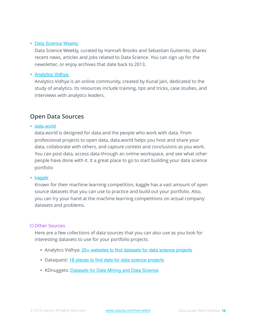#### • [Data Science Weekly](https://www.datascienceweekly.org/)

Data Science Weekly, curated by Hannah Brooks and Sebastian Gutierrez, shares recent news, articles and jobs related to Data Science. You can sign up for the newsletter, or enjoy archives that date back to 2013.

#### • [Analytics Vidhya](https://www.analyticsvidhya.com/)

Analytics Vidhya is an online community, created by Kunal Jain, dedicated to the study of analytics. Its resources include training, tips and tricks, case studies, and interviews with analytics leaders.

### **Open Data Sources**

#### • [data.world](https://data.world/)

data.world is designed for data and the people who work with data. From professional projects to open data, data.world helps you host and share your data, collaborate with others, and capture context and conclusions as you work. You can post data, access data through an online workspace, and see what other people have done with it. It a great place to go to start building your data science portfolio

#### • [kaggle](https://www.kaggle.com/)

Known for their machine learning competition, kaggle has a vast amount of open source datasets that you can use to practice and build out your portfolio. Also, you can try your hand at the machine learning competitions on actual company datasets and problems.

#### **O Other Sources**

Here are a few collections of data sources that you can also use as you look for interesting datasets to use for your portfolio projects.

- Analytics Vidhya: [25+ websites to find datasets for data science projects](https://www.analyticsvidhya.com/blog/2016/11/25-websites-to-find-datasets-for-data-science-projects/)
- Dataquest: [18 places to find data for data science projects](https://www.dataquest.io/blog/free-datasets-for-projects/)
- KDnuggets: [Datasets for Data Mining and Data Science](https://www.kdnuggets.com/datasets/index.html)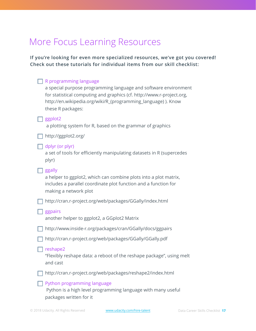## More Focus Learning Resources

**If you're looking for even more specialized resources, we've got you covered! Check out these tutorials for individual items from our skill checklist:** 

| R programming language<br>a special purpose programming language and software environment<br>for statistical computing and graphics (cf. http://www.r-project.org,<br>http://en.wikipedia.org/wiki/R_(programming_language)). Know<br>these R packages: |  |
|---------------------------------------------------------------------------------------------------------------------------------------------------------------------------------------------------------------------------------------------------------|--|
| ggplot2<br>a plotting system for R, based on the grammar of graphics                                                                                                                                                                                    |  |
| http://ggplot2.org/                                                                                                                                                                                                                                     |  |
| dplyr (or plyr)<br>a set of tools for efficiently manipulating datasets in R (supercedes<br>plyr)                                                                                                                                                       |  |
| ggally<br>a helper to ggplot2, which can combine plots into a plot matrix,<br>includes a parallel coordinate plot function and a function for<br>making a network plot                                                                                  |  |
| http://cran.r-project.org/web/packages/GGally/index.html                                                                                                                                                                                                |  |
| ggpairs<br>another helper to ggplot2, a GGplot2 Matrix                                                                                                                                                                                                  |  |
| http://www.inside-r.org/packages/cran/GGally/docs/ggpairs                                                                                                                                                                                               |  |
| http://cran.r-project.org/web/packages/GGally/GGally.pdf                                                                                                                                                                                                |  |
| reshape2<br>"Flexibly reshape data: a reboot of the reshape package", using melt<br>and cast                                                                                                                                                            |  |
| http://cran.r-project.org/web/packages/reshape2/index.html                                                                                                                                                                                              |  |
| Python programming language<br>Python is a high level programming language with many useful<br>packages written for it                                                                                                                                  |  |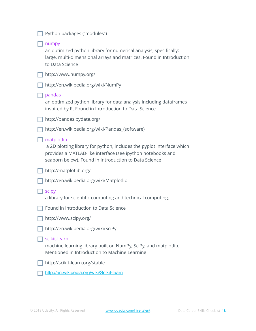| Python packages ("modules")                                                                                                                                                                                 |
|-------------------------------------------------------------------------------------------------------------------------------------------------------------------------------------------------------------|
| numpy<br>an optimized python library for numerical analysis, specifically:<br>large, multi-dimensional arrays and matrices. Found in Introduction<br>to Data Science                                        |
| http://www.numpy.org/                                                                                                                                                                                       |
| http://en.wikipedia.org/wiki/NumPy                                                                                                                                                                          |
| pandas<br>an optimized python library for data analysis including dataframes<br>inspired by R. Found in Introduction to Data Science                                                                        |
| http://pandas.pydata.org/                                                                                                                                                                                   |
| http://en.wikipedia.org/wiki/Pandas_(software)                                                                                                                                                              |
| matplotlib<br>a 2D plotting library for python, includes the pyplot interface which<br>provides a MATLAB-like interface (see ipython notebooks and<br>seaborn below). Found in Introduction to Data Science |
| http://matplotlib.org/                                                                                                                                                                                      |
| http://en.wikipedia.org/wiki/Matplotlib                                                                                                                                                                     |
| scipy<br>a library for scientific computing and technical computing.                                                                                                                                        |
| Found in Introduction to Data Science                                                                                                                                                                       |
| http://www.scipy.org/                                                                                                                                                                                       |
| http://en.wikipedia.org/wiki/SciPy                                                                                                                                                                          |
| scikit-learn<br>machine learning library built on NumPy, SciPy, and matplotlib.<br>Mentioned in Introduction to Machine Learning                                                                            |
| http://scikit-learn.org/stable                                                                                                                                                                              |

<http://en.wikipedia.org/wiki/Scikit-learn>